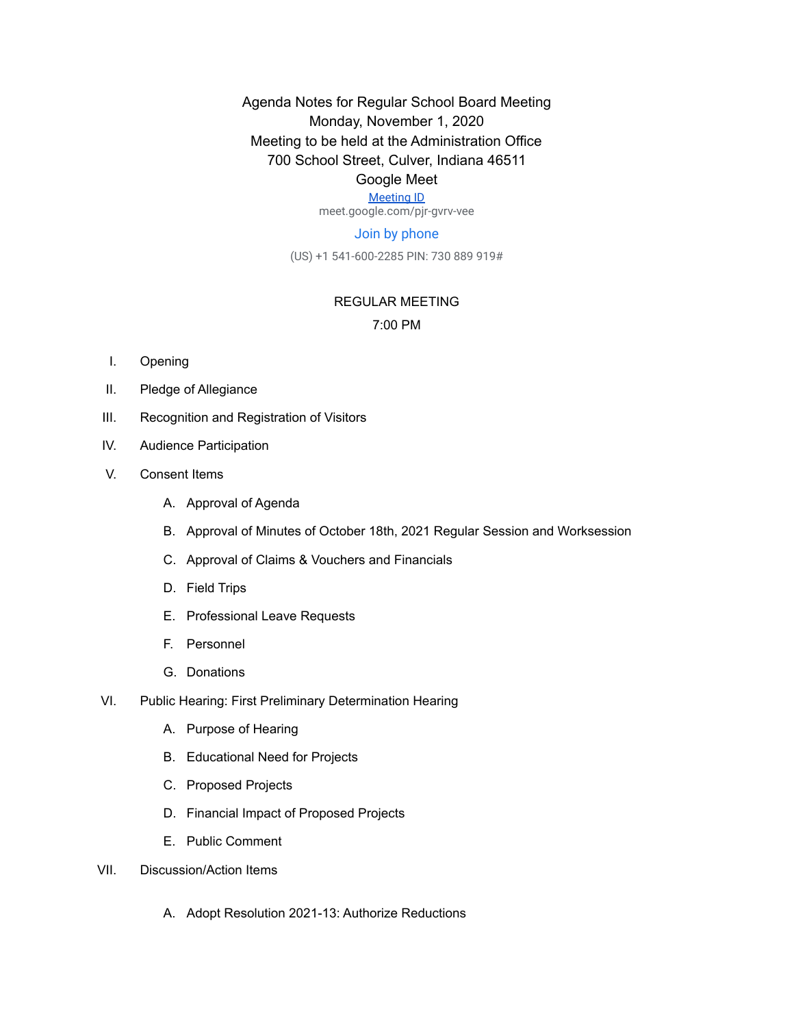Agenda Notes for Regular School Board Meeting Monday, November 1, 2020 Meeting to be held at the Administration Office 700 School Street, Culver, Indiana 46511

## Google Meet

# [Meeting ID](https://meet.google.com/pjr-gvrv-vee)

meet.google.com/pjr-gvrv-vee

### Join by phone

(US) +1 541-600-2285 PIN: 730 889 919#

### REGULAR MEETING

#### 7:00 PM

- I. Opening
- II. Pledge of Allegiance
- III. Recognition and Registration of Visitors
- IV. Audience Participation
- V. Consent Items
	- A. Approval of Agenda
	- B. Approval of Minutes of October 18th, 2021 Regular Session and Worksession
	- C. Approval of Claims & Vouchers and Financials
	- D. Field Trips
	- E. Professional Leave Requests
	- F. Personnel
	- G. Donations
- VI. Public Hearing: First Preliminary Determination Hearing
	- A. Purpose of Hearing
	- B. Educational Need for Projects
	- C. Proposed Projects
	- D. Financial Impact of Proposed Projects
	- E. Public Comment
- VII. Discussion/Action Items
	- A. Adopt Resolution 2021-13: Authorize Reductions